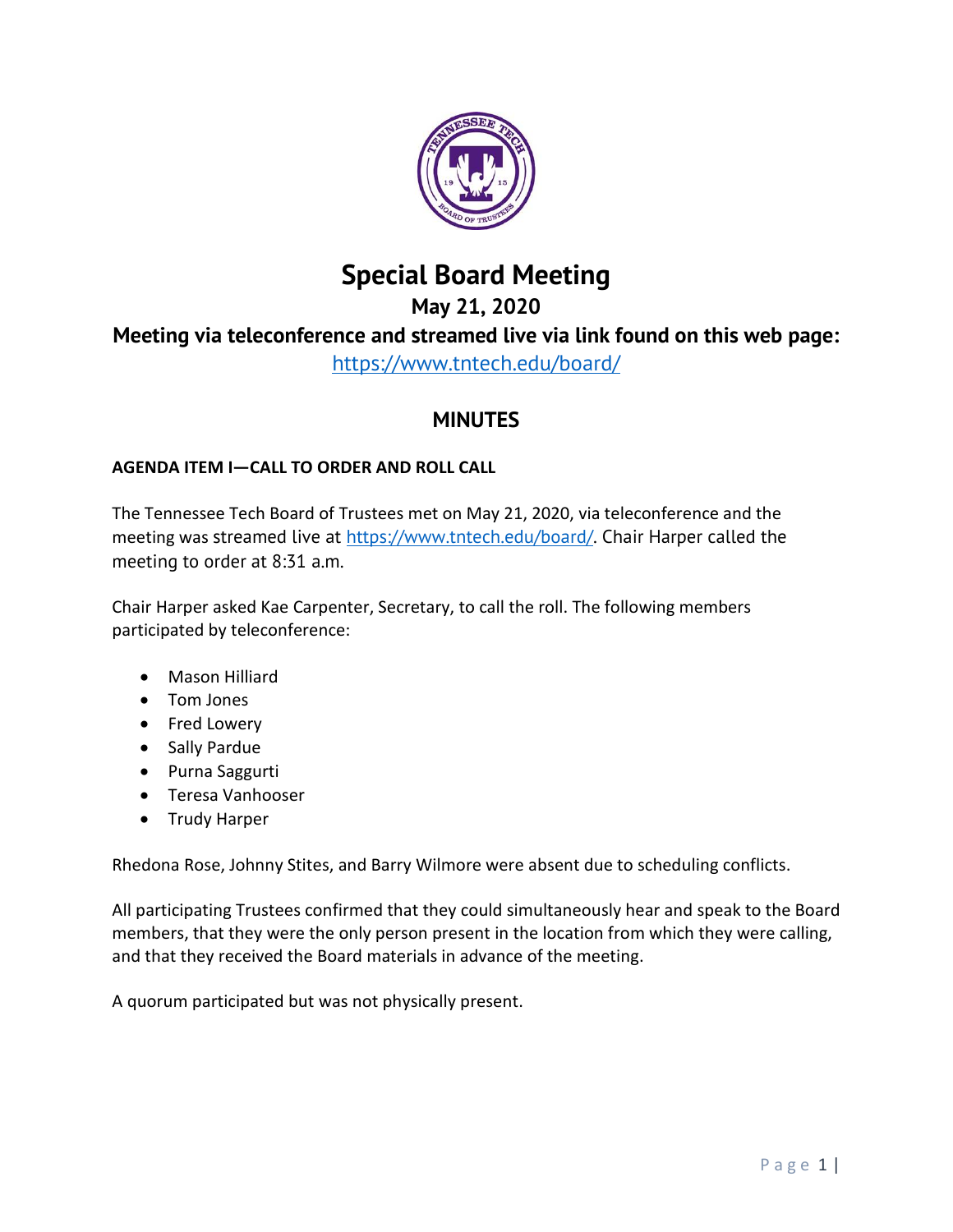

## **Special Board Meeting**

# **May 21, 2020 Meeting via teleconference and streamed live via link found on this web page:**

<https://www.tntech.edu/board/>

## **MINUTES**

## **AGENDA ITEM I—CALL TO ORDER AND ROLL CALL**

The Tennessee Tech Board of Trustees met on May 21, 2020, via teleconference and the meeting was streamed live at [https://www.tntech.edu/board/.](https://www.tntech.edu/board/) Chair Harper called the meeting to order at 8:31 a.m.

Chair Harper asked Kae Carpenter, Secretary, to call the roll. The following members participated by teleconference:

- Mason Hilliard
- Tom Jones
- Fred Lowery
- Sally Pardue
- Purna Saggurti
- Teresa Vanhooser
- Trudy Harper

Rhedona Rose, Johnny Stites, and Barry Wilmore were absent due to scheduling conflicts.

All participating Trustees confirmed that they could simultaneously hear and speak to the Board members, that they were the only person present in the location from which they were calling, and that they received the Board materials in advance of the meeting.

A quorum participated but was not physically present.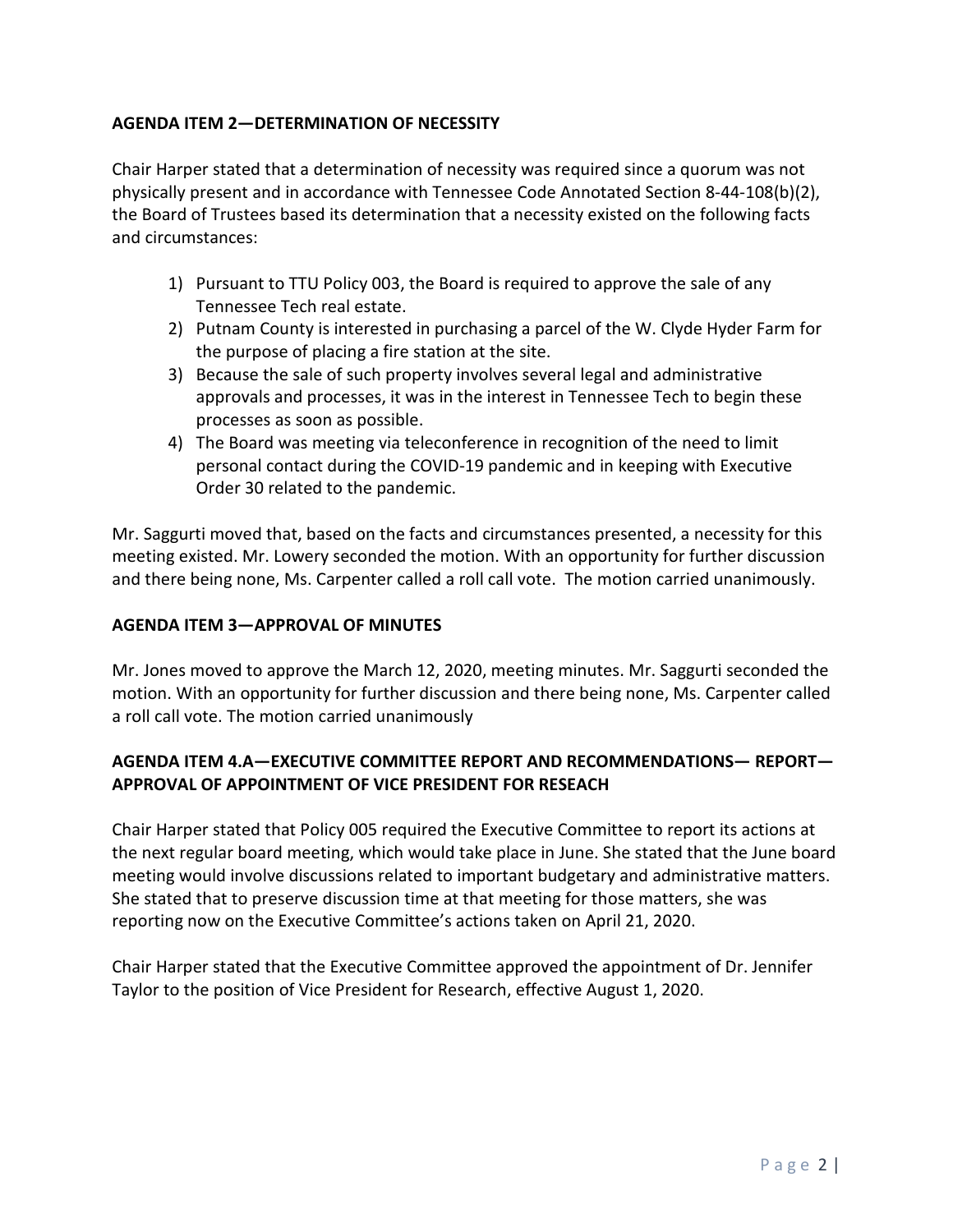### **AGENDA ITEM 2—DETERMINATION OF NECESSITY**

Chair Harper stated that a determination of necessity was required since a quorum was not physically present and in accordance with Tennessee Code Annotated Section 8-44-108(b)(2), the Board of Trustees based its determination that a necessity existed on the following facts and circumstances:

- 1) Pursuant to TTU Policy 003, the Board is required to approve the sale of any Tennessee Tech real estate.
- 2) Putnam County is interested in purchasing a parcel of the W. Clyde Hyder Farm for the purpose of placing a fire station at the site.
- 3) Because the sale of such property involves several legal and administrative approvals and processes, it was in the interest in Tennessee Tech to begin these processes as soon as possible.
- 4) The Board was meeting via teleconference in recognition of the need to limit personal contact during the COVID-19 pandemic and in keeping with Executive Order 30 related to the pandemic.

Mr. Saggurti moved that, based on the facts and circumstances presented, a necessity for this meeting existed. Mr. Lowery seconded the motion. With an opportunity for further discussion and there being none, Ms. Carpenter called a roll call vote. The motion carried unanimously.

### **AGENDA ITEM 3—APPROVAL OF MINUTES**

Mr. Jones moved to approve the March 12, 2020, meeting minutes. Mr. Saggurti seconded the motion. With an opportunity for further discussion and there being none, Ms. Carpenter called a roll call vote. The motion carried unanimously

## **AGENDA ITEM 4.A—EXECUTIVE COMMITTEE REPORT AND RECOMMENDATIONS— REPORT— APPROVAL OF APPOINTMENT OF VICE PRESIDENT FOR RESEACH**

Chair Harper stated that Policy 005 required the Executive Committee to report its actions at the next regular board meeting, which would take place in June. She stated that the June board meeting would involve discussions related to important budgetary and administrative matters. She stated that to preserve discussion time at that meeting for those matters, she was reporting now on the Executive Committee's actions taken on April 21, 2020.

Chair Harper stated that the Executive Committee approved the appointment of Dr. Jennifer Taylor to the position of Vice President for Research, effective August 1, 2020.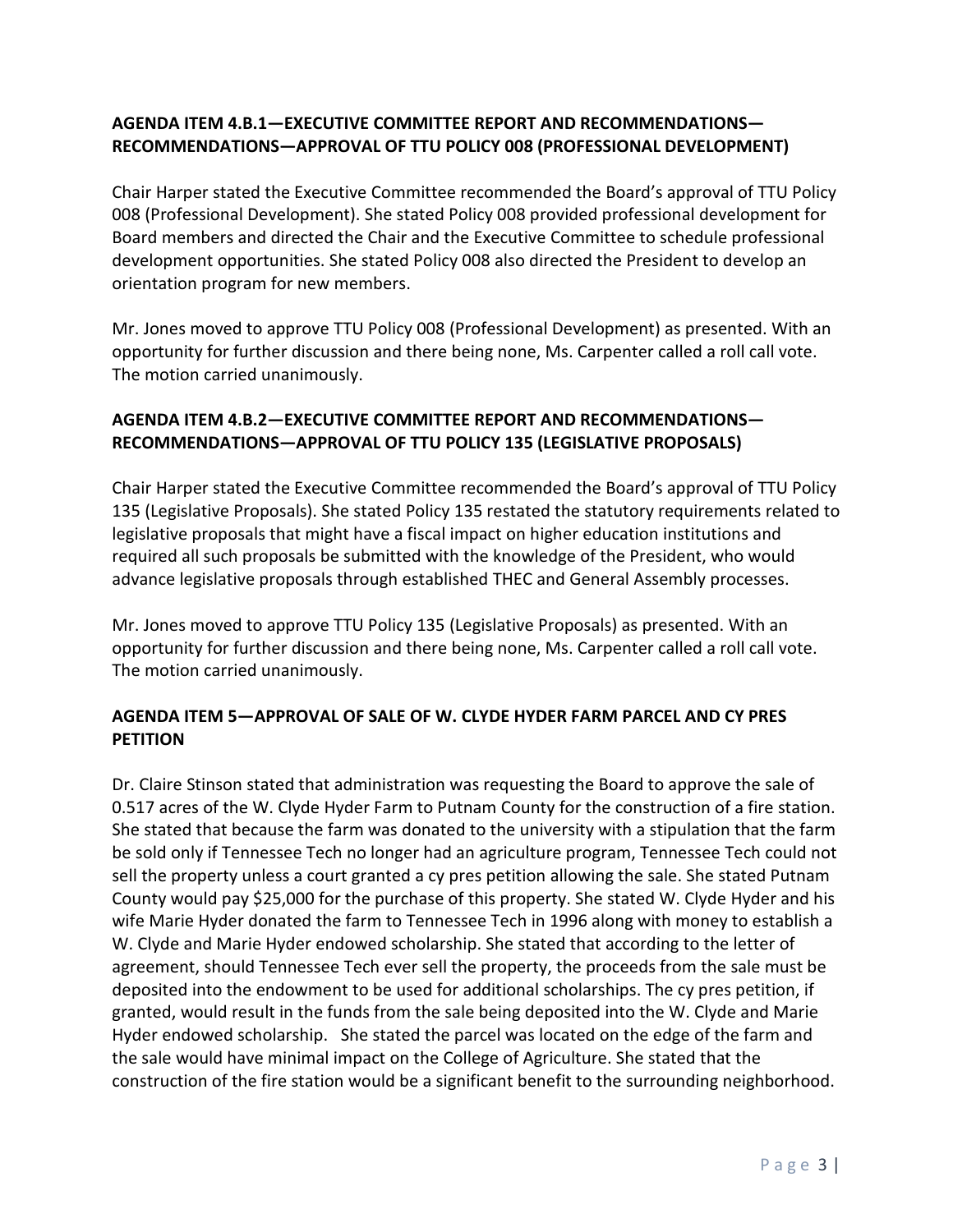## **AGENDA ITEM 4.B.1—EXECUTIVE COMMITTEE REPORT AND RECOMMENDATIONS— RECOMMENDATIONS—APPROVAL OF TTU POLICY 008 (PROFESSIONAL DEVELOPMENT)**

Chair Harper stated the Executive Committee recommended the Board's approval of TTU Policy 008 (Professional Development). She stated Policy 008 provided professional development for Board members and directed the Chair and the Executive Committee to schedule professional development opportunities. She stated Policy 008 also directed the President to develop an orientation program for new members.

Mr. Jones moved to approve TTU Policy 008 (Professional Development) as presented. With an opportunity for further discussion and there being none, Ms. Carpenter called a roll call vote. The motion carried unanimously.

## **AGENDA ITEM 4.B.2—EXECUTIVE COMMITTEE REPORT AND RECOMMENDATIONS— RECOMMENDATIONS—APPROVAL OF TTU POLICY 135 (LEGISLATIVE PROPOSALS)**

Chair Harper stated the Executive Committee recommended the Board's approval of TTU Policy 135 (Legislative Proposals). She stated Policy 135 restated the statutory requirements related to legislative proposals that might have a fiscal impact on higher education institutions and required all such proposals be submitted with the knowledge of the President, who would advance legislative proposals through established THEC and General Assembly processes.

Mr. Jones moved to approve TTU Policy 135 (Legislative Proposals) as presented. With an opportunity for further discussion and there being none, Ms. Carpenter called a roll call vote. The motion carried unanimously.

## **AGENDA ITEM 5—APPROVAL OF SALE OF W. CLYDE HYDER FARM PARCEL AND CY PRES PETITION**

Dr. Claire Stinson stated that administration was requesting the Board to approve the sale of 0.517 acres of the W. Clyde Hyder Farm to Putnam County for the construction of a fire station. She stated that because the farm was donated to the university with a stipulation that the farm be sold only if Tennessee Tech no longer had an agriculture program, Tennessee Tech could not sell the property unless a court granted a cy pres petition allowing the sale. She stated Putnam County would pay \$25,000 for the purchase of this property. She stated W. Clyde Hyder and his wife Marie Hyder donated the farm to Tennessee Tech in 1996 along with money to establish a W. Clyde and Marie Hyder endowed scholarship. She stated that according to the letter of agreement, should Tennessee Tech ever sell the property, the proceeds from the sale must be deposited into the endowment to be used for additional scholarships. The cy pres petition, if granted, would result in the funds from the sale being deposited into the W. Clyde and Marie Hyder endowed scholarship. She stated the parcel was located on the edge of the farm and the sale would have minimal impact on the College of Agriculture. She stated that the construction of the fire station would be a significant benefit to the surrounding neighborhood.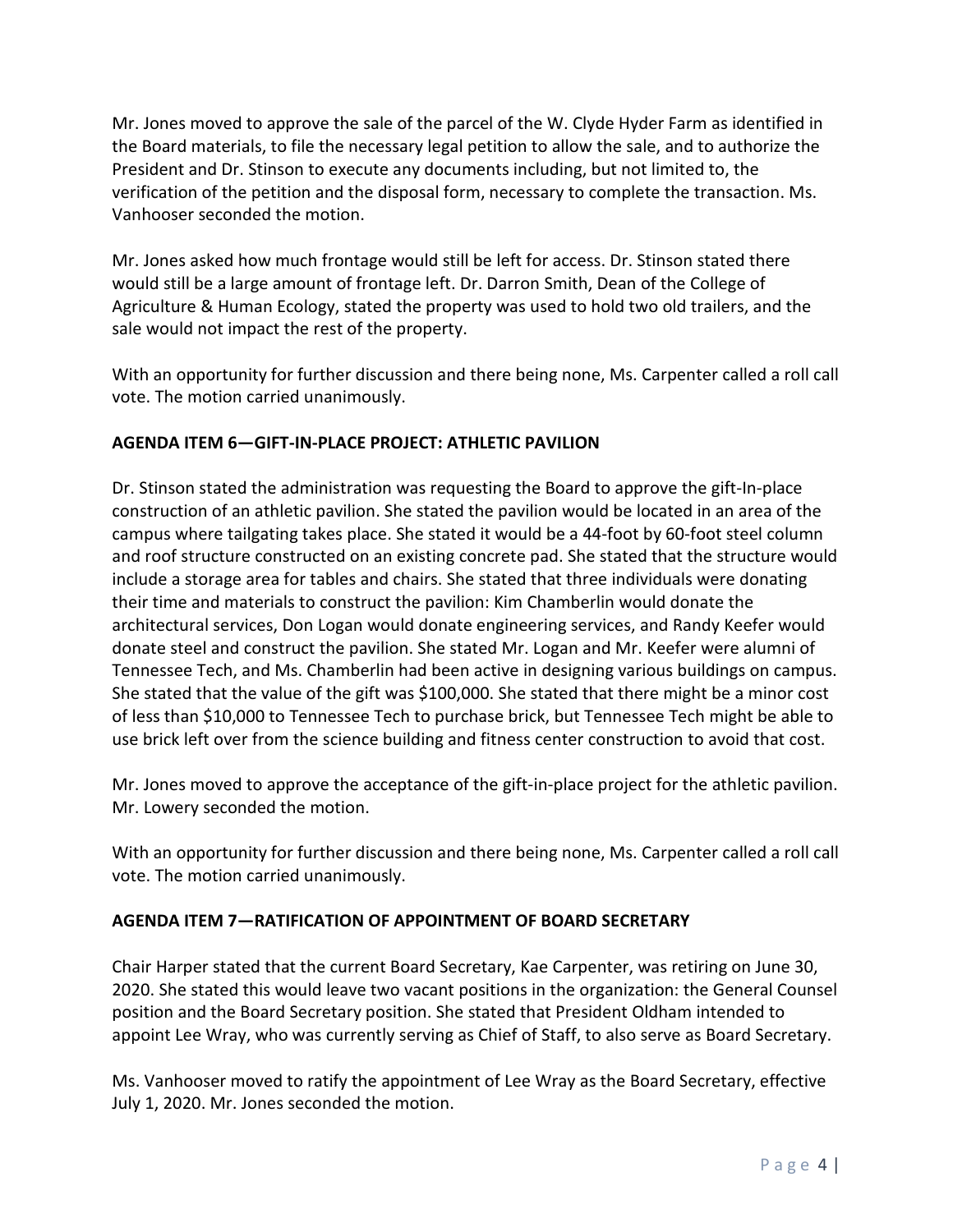Mr. Jones moved to approve the sale of the parcel of the W. Clyde Hyder Farm as identified in the Board materials, to file the necessary legal petition to allow the sale, and to authorize the President and Dr. Stinson to execute any documents including, but not limited to, the verification of the petition and the disposal form, necessary to complete the transaction. Ms. Vanhooser seconded the motion.

Mr. Jones asked how much frontage would still be left for access. Dr. Stinson stated there would still be a large amount of frontage left. Dr. Darron Smith, Dean of the College of Agriculture & Human Ecology, stated the property was used to hold two old trailers, and the sale would not impact the rest of the property.

With an opportunity for further discussion and there being none, Ms. Carpenter called a roll call vote. The motion carried unanimously.

### **AGENDA ITEM 6—GIFT-IN-PLACE PROJECT: ATHLETIC PAVILION**

Dr. Stinson stated the administration was requesting the Board to approve the gift-In-place construction of an athletic pavilion. She stated the pavilion would be located in an area of the campus where tailgating takes place. She stated it would be a 44-foot by 60-foot steel column and roof structure constructed on an existing concrete pad. She stated that the structure would include a storage area for tables and chairs. She stated that three individuals were donating their time and materials to construct the pavilion: Kim Chamberlin would donate the architectural services, Don Logan would donate engineering services, and Randy Keefer would donate steel and construct the pavilion. She stated Mr. Logan and Mr. Keefer were alumni of Tennessee Tech, and Ms. Chamberlin had been active in designing various buildings on campus. She stated that the value of the gift was \$100,000. She stated that there might be a minor cost of less than \$10,000 to Tennessee Tech to purchase brick, but Tennessee Tech might be able to use brick left over from the science building and fitness center construction to avoid that cost.

Mr. Jones moved to approve the acceptance of the gift-in-place project for the athletic pavilion. Mr. Lowery seconded the motion.

With an opportunity for further discussion and there being none, Ms. Carpenter called a roll call vote. The motion carried unanimously.

#### **AGENDA ITEM 7—RATIFICATION OF APPOINTMENT OF BOARD SECRETARY**

Chair Harper stated that the current Board Secretary, Kae Carpenter, was retiring on June 30, 2020. She stated this would leave two vacant positions in the organization: the General Counsel position and the Board Secretary position. She stated that President Oldham intended to appoint Lee Wray, who was currently serving as Chief of Staff, to also serve as Board Secretary.

Ms. Vanhooser moved to ratify the appointment of Lee Wray as the Board Secretary, effective July 1, 2020. Mr. Jones seconded the motion.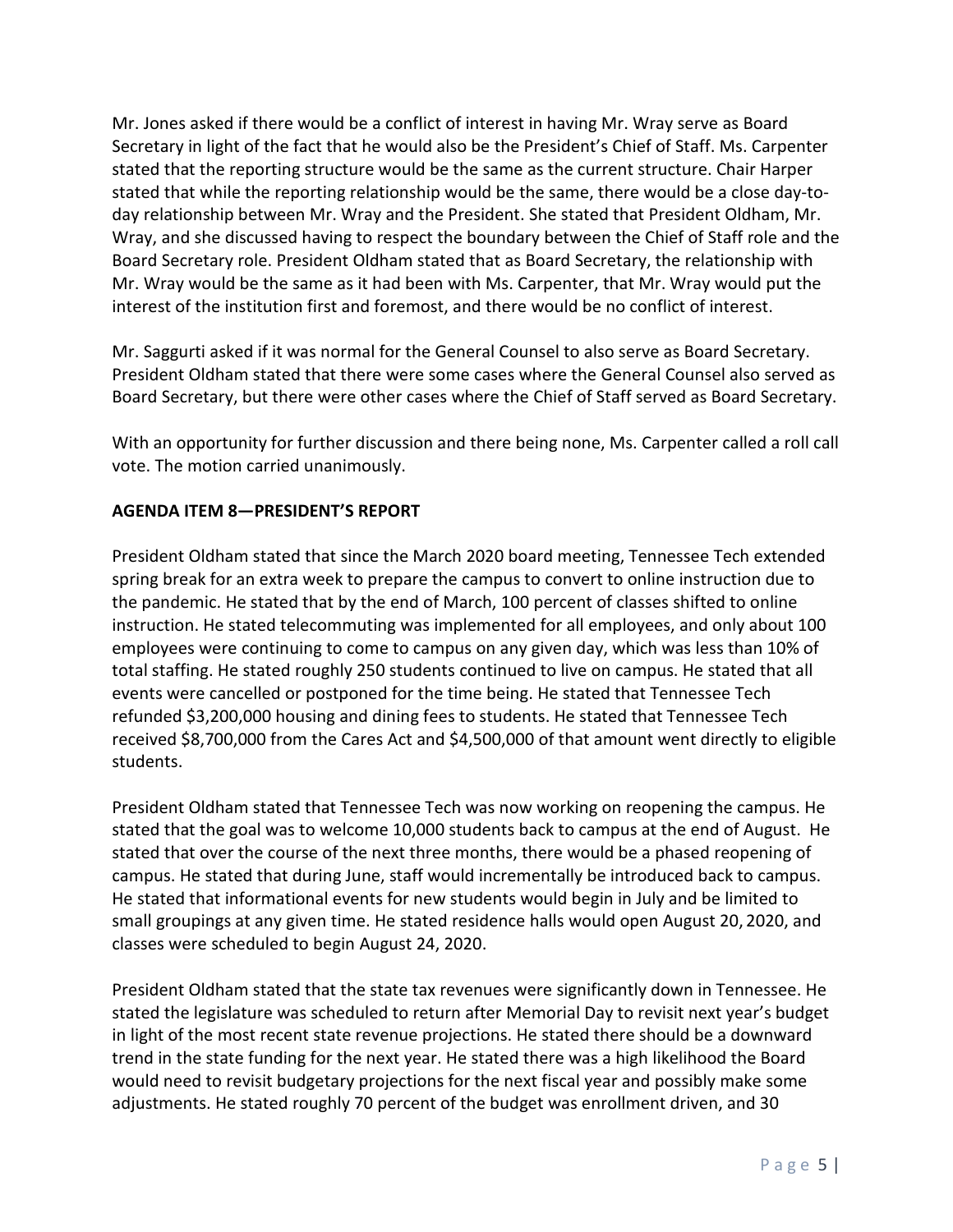Mr. Jones asked if there would be a conflict of interest in having Mr. Wray serve as Board Secretary in light of the fact that he would also be the President's Chief of Staff. Ms. Carpenter stated that the reporting structure would be the same as the current structure. Chair Harper stated that while the reporting relationship would be the same, there would be a close day-today relationship between Mr. Wray and the President. She stated that President Oldham, Mr. Wray, and she discussed having to respect the boundary between the Chief of Staff role and the Board Secretary role. President Oldham stated that as Board Secretary, the relationship with Mr. Wray would be the same as it had been with Ms. Carpenter, that Mr. Wray would put the interest of the institution first and foremost, and there would be no conflict of interest.

Mr. Saggurti asked if it was normal for the General Counsel to also serve as Board Secretary. President Oldham stated that there were some cases where the General Counsel also served as Board Secretary, but there were other cases where the Chief of Staff served as Board Secretary.

With an opportunity for further discussion and there being none, Ms. Carpenter called a roll call vote. The motion carried unanimously.

### **AGENDA ITEM 8—PRESIDENT'S REPORT**

President Oldham stated that since the March 2020 board meeting, Tennessee Tech extended spring break for an extra week to prepare the campus to convert to online instruction due to the pandemic. He stated that by the end of March, 100 percent of classes shifted to online instruction. He stated telecommuting was implemented for all employees, and only about 100 employees were continuing to come to campus on any given day, which was less than 10% of total staffing. He stated roughly 250 students continued to live on campus. He stated that all events were cancelled or postponed for the time being. He stated that Tennessee Tech refunded \$3,200,000 housing and dining fees to students. He stated that Tennessee Tech received \$8,700,000 from the Cares Act and \$4,500,000 of that amount went directly to eligible students.

President Oldham stated that Tennessee Tech was now working on reopening the campus. He stated that the goal was to welcome 10,000 students back to campus at the end of August. He stated that over the course of the next three months, there would be a phased reopening of campus. He stated that during June, staff would incrementally be introduced back to campus. He stated that informational events for new students would begin in July and be limited to small groupings at any given time. He stated residence halls would open August 20, 2020, and classes were scheduled to begin August 24, 2020.

President Oldham stated that the state tax revenues were significantly down in Tennessee. He stated the legislature was scheduled to return after Memorial Day to revisit next year's budget in light of the most recent state revenue projections. He stated there should be a downward trend in the state funding for the next year. He stated there was a high likelihood the Board would need to revisit budgetary projections for the next fiscal year and possibly make some adjustments. He stated roughly 70 percent of the budget was enrollment driven, and 30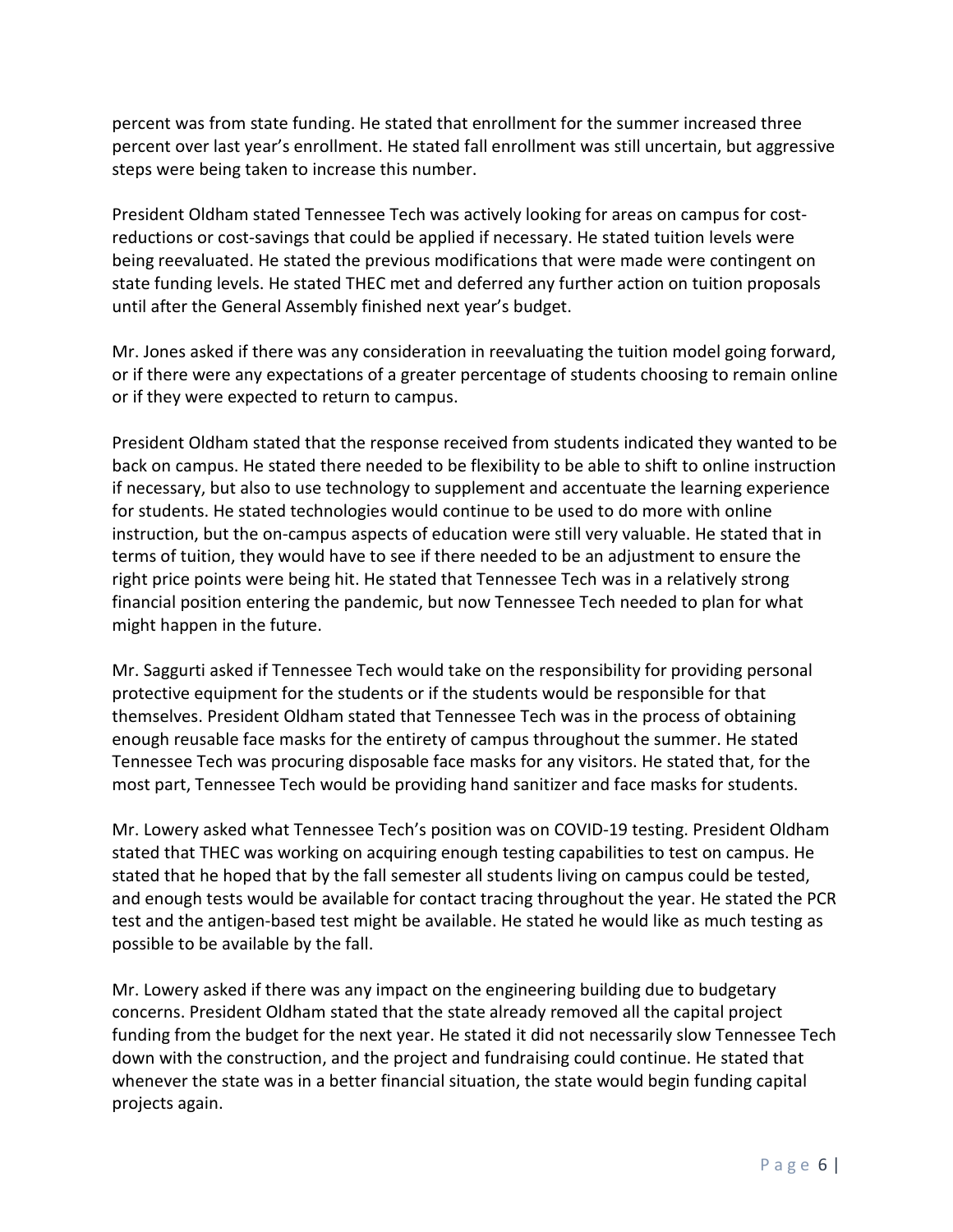percent was from state funding. He stated that enrollment for the summer increased three percent over last year's enrollment. He stated fall enrollment was still uncertain, but aggressive steps were being taken to increase this number.

President Oldham stated Tennessee Tech was actively looking for areas on campus for costreductions or cost-savings that could be applied if necessary. He stated tuition levels were being reevaluated. He stated the previous modifications that were made were contingent on state funding levels. He stated THEC met and deferred any further action on tuition proposals until after the General Assembly finished next year's budget.

Mr. Jones asked if there was any consideration in reevaluating the tuition model going forward, or if there were any expectations of a greater percentage of students choosing to remain online or if they were expected to return to campus.

President Oldham stated that the response received from students indicated they wanted to be back on campus. He stated there needed to be flexibility to be able to shift to online instruction if necessary, but also to use technology to supplement and accentuate the learning experience for students. He stated technologies would continue to be used to do more with online instruction, but the on-campus aspects of education were still very valuable. He stated that in terms of tuition, they would have to see if there needed to be an adjustment to ensure the right price points were being hit. He stated that Tennessee Tech was in a relatively strong financial position entering the pandemic, but now Tennessee Tech needed to plan for what might happen in the future.

Mr. Saggurti asked if Tennessee Tech would take on the responsibility for providing personal protective equipment for the students or if the students would be responsible for that themselves. President Oldham stated that Tennessee Tech was in the process of obtaining enough reusable face masks for the entirety of campus throughout the summer. He stated Tennessee Tech was procuring disposable face masks for any visitors. He stated that, for the most part, Tennessee Tech would be providing hand sanitizer and face masks for students.

Mr. Lowery asked what Tennessee Tech's position was on COVID-19 testing. President Oldham stated that THEC was working on acquiring enough testing capabilities to test on campus. He stated that he hoped that by the fall semester all students living on campus could be tested, and enough tests would be available for contact tracing throughout the year. He stated the PCR test and the antigen-based test might be available. He stated he would like as much testing as possible to be available by the fall.

Mr. Lowery asked if there was any impact on the engineering building due to budgetary concerns. President Oldham stated that the state already removed all the capital project funding from the budget for the next year. He stated it did not necessarily slow Tennessee Tech down with the construction, and the project and fundraising could continue. He stated that whenever the state was in a better financial situation, the state would begin funding capital projects again.